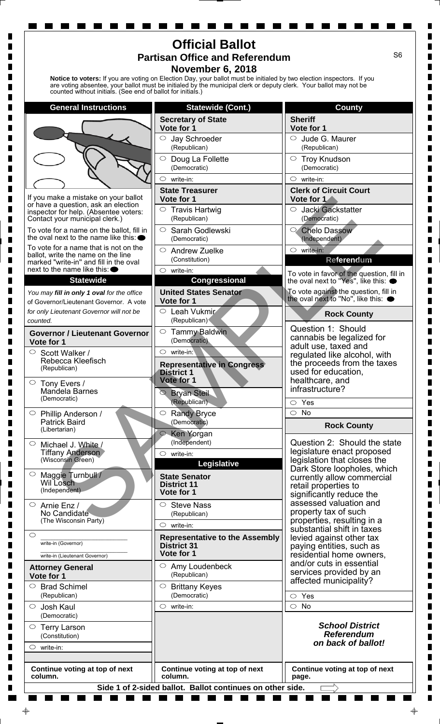| <b>Official Ballot</b><br>S <sub>6</sub><br><b>Partisan Office and Referendum</b><br><b>November 6, 2018</b><br>Notice to voters: If you are voting on Election Day, your ballot must be initialed by two election inspectors. If you<br>are voting absentee, your ballot must be initialed by the municipal clerk or deputy clerk. Your ballot may not be<br>counted without initials. (See end of ballot for initials.) |                                                           |                                                                                      |
|---------------------------------------------------------------------------------------------------------------------------------------------------------------------------------------------------------------------------------------------------------------------------------------------------------------------------------------------------------------------------------------------------------------------------|-----------------------------------------------------------|--------------------------------------------------------------------------------------|
| <b>General Instructions</b>                                                                                                                                                                                                                                                                                                                                                                                               | <b>Statewide (Cont.)</b>                                  | <b>County</b>                                                                        |
|                                                                                                                                                                                                                                                                                                                                                                                                                           | <b>Secretary of State</b>                                 | <b>Sheriff</b>                                                                       |
|                                                                                                                                                                                                                                                                                                                                                                                                                           | Vote for 1                                                | Vote for 1                                                                           |
|                                                                                                                                                                                                                                                                                                                                                                                                                           | $\circ$<br>Jay Schroeder<br>(Republican)                  | Jude G. Maurer<br>$\circ$<br>(Republican)                                            |
|                                                                                                                                                                                                                                                                                                                                                                                                                           | $\bigcirc$<br>Doug La Follette                            | ○ Troy Knudson                                                                       |
|                                                                                                                                                                                                                                                                                                                                                                                                                           | (Democratic)                                              | (Democratic)                                                                         |
|                                                                                                                                                                                                                                                                                                                                                                                                                           | $\circ$<br>write-in:                                      | $\circ$ write-in:                                                                    |
| If you make a mistake on your ballot                                                                                                                                                                                                                                                                                                                                                                                      | <b>State Treasurer</b><br>Vote for 1                      | <b>Clerk of Circuit Court</b><br>Vote for 1                                          |
| or have a question, ask an election<br>inspector for help. (Absentee voters:                                                                                                                                                                                                                                                                                                                                              | $\circ$ Travis Hartwig                                    | Jacki Gackstatter<br>O                                                               |
| Contact your municipal clerk.)                                                                                                                                                                                                                                                                                                                                                                                            | (Republican)                                              | (Democratic)                                                                         |
| To vote for a name on the ballot, fill in<br>the oval next to the name like this: $\bullet$                                                                                                                                                                                                                                                                                                                               | $\circ$<br>Sarah Godlewski                                | Chelo Dassow                                                                         |
| To vote for a name that is not on the                                                                                                                                                                                                                                                                                                                                                                                     | (Democratic)<br>$\circ$<br><b>Andrew Zuelke</b>           | (Independent)<br>$\circ$ write-in:                                                   |
| ballot, write the name on the line<br>marked "write-in" and fill in the oval                                                                                                                                                                                                                                                                                                                                              | (Constitution)                                            | Referendum                                                                           |
| next to the name like this: $\bullet$                                                                                                                                                                                                                                                                                                                                                                                     | $\circ$ write-in:                                         | To vote in favor of the question, fill in                                            |
| <b>Statewide</b>                                                                                                                                                                                                                                                                                                                                                                                                          | <b>Congressional</b>                                      | the oval next to "Yes", like this: $\bullet$                                         |
| You may fill in only 1 oval for the office<br>of Governor/Lieutenant Governor. A vote                                                                                                                                                                                                                                                                                                                                     | <b>United States Senator</b><br>Vote for 1                | To vote against the question, fill in<br>the oval next to "No", like this: $\bullet$ |
| for only Lieutenant Governor will not be<br>counted.                                                                                                                                                                                                                                                                                                                                                                      | $\circ$ Leah Vukmir<br>(Republican)                       | <b>Rock County</b>                                                                   |
| <b>Governor / Lieutenant Governor</b>                                                                                                                                                                                                                                                                                                                                                                                     | $\circ$<br><b>Tammy Baldwin</b>                           | Question 1: Should                                                                   |
| Vote for 1                                                                                                                                                                                                                                                                                                                                                                                                                | (Democratic)                                              | cannabis be legalized for<br>adult use, taxed and                                    |
| Scott Walker /                                                                                                                                                                                                                                                                                                                                                                                                            | $\circ$ write-in:                                         | regulated like alcohol, with                                                         |
| Rebecca Kleefisch<br>(Republican)                                                                                                                                                                                                                                                                                                                                                                                         | <b>Representative in Congress</b>                         | the proceeds from the taxes                                                          |
| $\circ$ Tony Evers /                                                                                                                                                                                                                                                                                                                                                                                                      | <b>District 1</b><br>Vote for 1                           | used for education,<br>healthcare, and                                               |
| Mandela Barnes                                                                                                                                                                                                                                                                                                                                                                                                            | <b>Bryan Steil</b><br>$\circledcirc$                      | infrastructure?                                                                      |
| (Democratic)                                                                                                                                                                                                                                                                                                                                                                                                              | (Republican)                                              | Yes<br>$\circ$                                                                       |
| $\circ$<br>Phillip Anderson /                                                                                                                                                                                                                                                                                                                                                                                             | ○ Randy Bryce                                             | $\circ$<br><b>No</b>                                                                 |
| <b>Patrick Baird</b><br>(Libertarian)                                                                                                                                                                                                                                                                                                                                                                                     | (Democratic)                                              | <b>Rock County</b>                                                                   |
| $\circ$<br>Michael J. White /                                                                                                                                                                                                                                                                                                                                                                                             | Ken Yorgan<br>(Independent)                               | Question 2: Should the state                                                         |
| <b>Tiffany Anderson</b>                                                                                                                                                                                                                                                                                                                                                                                                   | $\circ$<br>write-in:                                      | legislature enact proposed                                                           |
| (Wisconsin Green)                                                                                                                                                                                                                                                                                                                                                                                                         | Legislative                                               | legislation that closes the<br>Dark Store loopholes, which                           |
| $\circ$<br>Maggie Turnbull /                                                                                                                                                                                                                                                                                                                                                                                              | <b>State Senator</b>                                      | currently allow commercial                                                           |
| Wil Losch<br>(Independent)                                                                                                                                                                                                                                                                                                                                                                                                | <b>District 11</b><br>Vote for 1                          | retail properties to                                                                 |
| $\circ$                                                                                                                                                                                                                                                                                                                                                                                                                   | <b>Steve Nass</b><br>O                                    | significantly reduce the<br>assessed valuation and                                   |
| Arnie Enz /<br>No Candidate                                                                                                                                                                                                                                                                                                                                                                                               | (Republican)                                              | property tax of such                                                                 |
| (The Wisconsin Party)                                                                                                                                                                                                                                                                                                                                                                                                     | $\circ$<br>write-in:                                      | properties, resulting in a<br>substantial shift in taxes                             |
| $\circ$                                                                                                                                                                                                                                                                                                                                                                                                                   | <b>Representative to the Assembly</b>                     | levied against other tax                                                             |
| write-in (Governor)                                                                                                                                                                                                                                                                                                                                                                                                       | <b>District 31</b><br>Vote for 1                          | paying entities, such as<br>residential home owners,                                 |
| write-in (Lieutenant Governor)                                                                                                                                                                                                                                                                                                                                                                                            | Amy Loudenbeck<br>O                                       | and/or cuts in essential                                                             |
| <b>Attorney General</b><br>Vote for 1                                                                                                                                                                                                                                                                                                                                                                                     | (Republican)                                              | services provided by an                                                              |
| $\bigcirc$<br><b>Brad Schimel</b><br>(Republican)                                                                                                                                                                                                                                                                                                                                                                         | $\circ$<br><b>Brittany Keyes</b><br>(Democratic)          | affected municipality?<br>Yes<br>◯                                                   |
| $\circ$<br>Josh Kaul                                                                                                                                                                                                                                                                                                                                                                                                      | $\circ$ write-in:                                         | <b>No</b><br>$\bigcirc$                                                              |
| (Democratic)                                                                                                                                                                                                                                                                                                                                                                                                              |                                                           |                                                                                      |
| $\circ$ Terry Larson                                                                                                                                                                                                                                                                                                                                                                                                      |                                                           | <b>School District</b><br><b>Referendum</b>                                          |
| (Constitution)<br>$\circ$<br>write-in:                                                                                                                                                                                                                                                                                                                                                                                    |                                                           | on back of ballot!                                                                   |
|                                                                                                                                                                                                                                                                                                                                                                                                                           |                                                           |                                                                                      |
| Continue voting at top of next<br>column.                                                                                                                                                                                                                                                                                                                                                                                 | Continue voting at top of next<br>column.                 | Continue voting at top of next<br>page.                                              |
|                                                                                                                                                                                                                                                                                                                                                                                                                           | Side 1 of 2-sided ballot. Ballot continues on other side. |                                                                                      |

 $\blacksquare$ 

m.

 $\blacksquare$ 

 $\Rightarrow$ 

---------<br>--------

 $\blacksquare$ 

 $\Box$ 

 $\blacksquare$